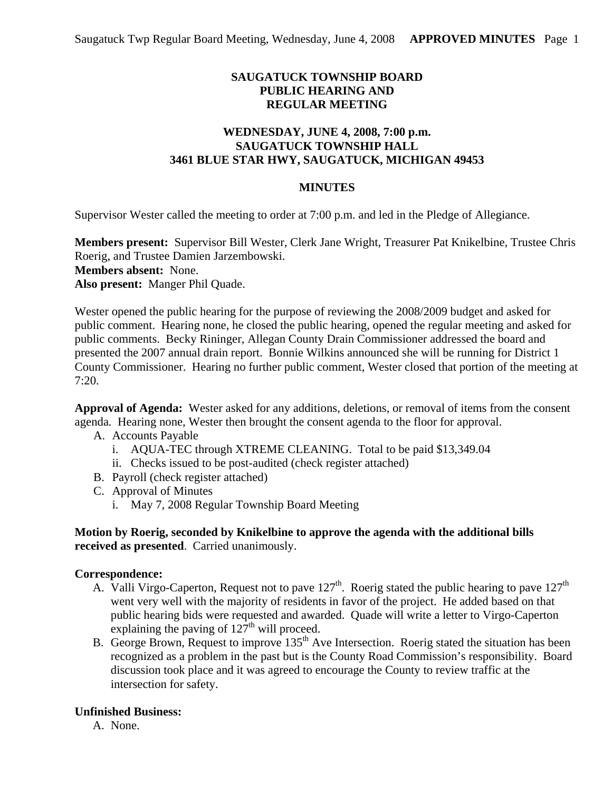# **SAUGATUCK TOWNSHIP BOARD PUBLIC HEARING AND REGULAR MEETING**

## **WEDNESDAY, JUNE 4, 2008, 7:00 p.m. SAUGATUCK TOWNSHIP HALL 3461 BLUE STAR HWY, SAUGATUCK, MICHIGAN 49453**

### **MINUTES**

Supervisor Wester called the meeting to order at 7:00 p.m. and led in the Pledge of Allegiance.

**Members present:** Supervisor Bill Wester, Clerk Jane Wright, Treasurer Pat Knikelbine, Trustee Chris Roerig, and Trustee Damien Jarzembowski. **Members absent:** None.

**Also present:** Manger Phil Quade.

Wester opened the public hearing for the purpose of reviewing the 2008/2009 budget and asked for public comment. Hearing none, he closed the public hearing, opened the regular meeting and asked for public comments. Becky Rininger, Allegan County Drain Commissioner addressed the board and presented the 2007 annual drain report. Bonnie Wilkins announced she will be running for District 1 County Commissioner. Hearing no further public comment, Wester closed that portion of the meeting at 7:20.

**Approval of Agenda:** Wester asked for any additions, deletions, or removal of items from the consent agenda*.* Hearing none, Wester then brought the consent agenda to the floor for approval.

- A. Accounts Payable
	- i. AQUA-TEC through XTREME CLEANING. Total to be paid \$13,349.04
	- ii. Checks issued to be post-audited (check register attached)
- B. Payroll (check register attached)
- C. Approval of Minutes
	- i. May 7, 2008 Regular Township Board Meeting

### **Motion by Roerig, seconded by Knikelbine to approve the agenda with the additional bills received as presented**. Carried unanimously.

#### **Correspondence:**

- A. Valli Virgo-Caperton, Request not to pave  $127<sup>th</sup>$ . Roerig stated the public hearing to pave  $127<sup>th</sup>$ went very well with the majority of residents in favor of the project. He added based on that public hearing bids were requested and awarded. Quade will write a letter to Virgo-Caperton explaining the paving of  $127<sup>th</sup>$  will proceed.
- B. George Brown, Request to improve 135<sup>th</sup> Ave Intersection. Roerig stated the situation has been recognized as a problem in the past but is the County Road Commission's responsibility. Board discussion took place and it was agreed to encourage the County to review traffic at the intersection for safety.

### **Unfinished Business:**

A. None.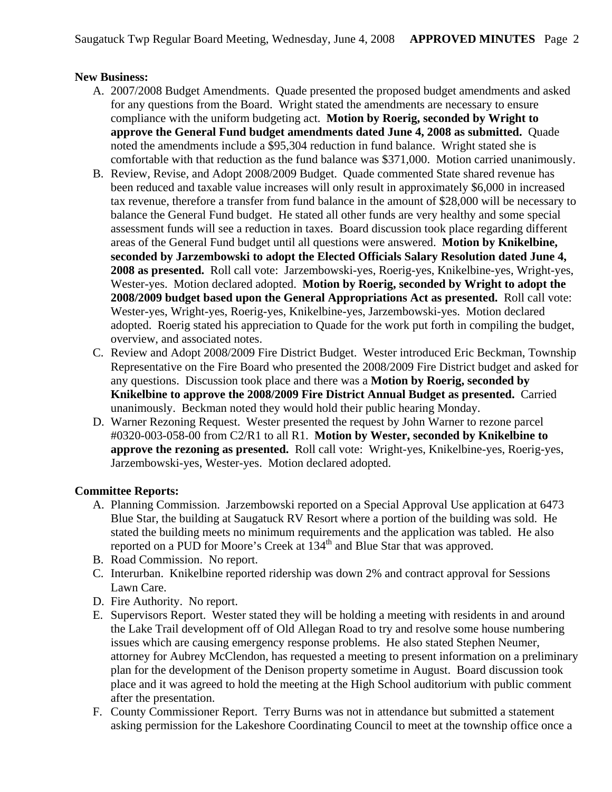## **New Business:**

- A. 2007/2008 Budget Amendments. Quade presented the proposed budget amendments and asked for any questions from the Board. Wright stated the amendments are necessary to ensure compliance with the uniform budgeting act. **Motion by Roerig, seconded by Wright to approve the General Fund budget amendments dated June 4, 2008 as submitted.** Quade noted the amendments include a \$95,304 reduction in fund balance. Wright stated she is comfortable with that reduction as the fund balance was \$371,000. Motion carried unanimously.
- B. Review, Revise, and Adopt 2008/2009 Budget. Quade commented State shared revenue has been reduced and taxable value increases will only result in approximately \$6,000 in increased tax revenue, therefore a transfer from fund balance in the amount of \$28,000 will be necessary to balance the General Fund budget. He stated all other funds are very healthy and some special assessment funds will see a reduction in taxes. Board discussion took place regarding different areas of the General Fund budget until all questions were answered. **Motion by Knikelbine, seconded by Jarzembowski to adopt the Elected Officials Salary Resolution dated June 4, 2008 as presented.** Roll call vote: Jarzembowski-yes, Roerig-yes, Knikelbine-yes, Wright-yes, Wester-yes. Motion declared adopted. **Motion by Roerig, seconded by Wright to adopt the 2008/2009 budget based upon the General Appropriations Act as presented.** Roll call vote: Wester-yes, Wright-yes, Roerig-yes, Knikelbine-yes, Jarzembowski-yes. Motion declared adopted. Roerig stated his appreciation to Quade for the work put forth in compiling the budget, overview, and associated notes.
- C. Review and Adopt 2008/2009 Fire District Budget. Wester introduced Eric Beckman, Township Representative on the Fire Board who presented the 2008/2009 Fire District budget and asked for any questions. Discussion took place and there was a **Motion by Roerig, seconded by Knikelbine to approve the 2008/2009 Fire District Annual Budget as presented.** Carried unanimously. Beckman noted they would hold their public hearing Monday.
- D. Warner Rezoning Request. Wester presented the request by John Warner to rezone parcel #0320-003-058-00 from C2/R1 to all R1. **Motion by Wester, seconded by Knikelbine to approve the rezoning as presented.** Roll call vote: Wright-yes, Knikelbine-yes, Roerig-yes, Jarzembowski-yes, Wester-yes. Motion declared adopted.

### **Committee Reports:**

- A. Planning Commission. Jarzembowski reported on a Special Approval Use application at 6473 Blue Star, the building at Saugatuck RV Resort where a portion of the building was sold. He stated the building meets no minimum requirements and the application was tabled. He also reported on a PUD for Moore's Creek at  $134<sup>th</sup>$  and Blue Star that was approved.
- B. Road Commission. No report.
- C. Interurban. Knikelbine reported ridership was down 2% and contract approval for Sessions Lawn Care.
- D. Fire Authority. No report.
- E. Supervisors Report. Wester stated they will be holding a meeting with residents in and around the Lake Trail development off of Old Allegan Road to try and resolve some house numbering issues which are causing emergency response problems. He also stated Stephen Neumer, attorney for Aubrey McClendon, has requested a meeting to present information on a preliminary plan for the development of the Denison property sometime in August. Board discussion took place and it was agreed to hold the meeting at the High School auditorium with public comment after the presentation.
- F. County Commissioner Report. Terry Burns was not in attendance but submitted a statement asking permission for the Lakeshore Coordinating Council to meet at the township office once a